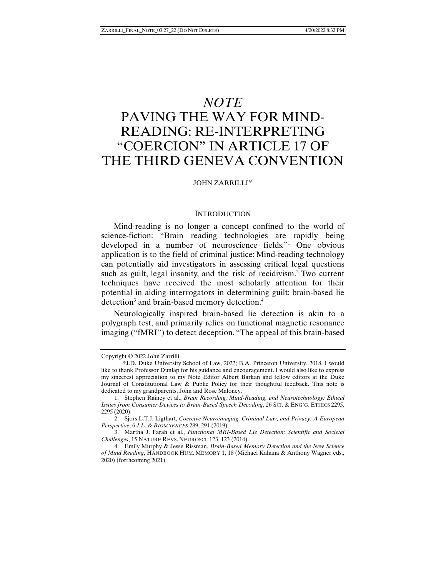## *NOTE*

# PAVING THE WAY FOR MIND-READING: RE-INTERPRETING "COERCION" IN ARTICLE 17 OF THE THIRD GENEVA CONVENTION

## JOHN ZARRILLI\*

#### **INTRODUCTION**

Mind-reading is no longer a concept confined to the world of science-fiction: "Brain reading technologies are rapidly being developed in a number of neuroscience fields."1 One obvious application is to the field of criminal justice: Mind-reading technology can potentially aid investigators in assessing critical legal questions such as guilt, legal insanity, and the risk of recidivism.<sup>2</sup> Two current techniques have received the most scholarly attention for their potential in aiding interrogators in determining guilt: brain-based lie detection<sup>3</sup> and brain-based memory detection.<sup>4</sup>

Neurologically inspired brain-based lie detection is akin to a polygraph test, and primarily relies on functional magnetic resonance imaging ("fMRI") to detect deception. "The appeal of this brain-based

Copyright © 2022 John Zarrilli

 <sup>\*</sup>J.D. Duke University School of Law, 2022; B.A. Princeton University, 2018. I would like to thank Professor Dunlap for his guidance and encouragement. I would also like to express my sincerest appreciation to my Note Editor Albert Barkan and fellow editors at the Duke Journal of Constitutional Law & Public Policy for their thoughtful feedback. This note is dedicated to my grandparents, John and Rose Maloney.

 <sup>1.</sup> Stephen Rainey et al., *Brain Recording, Mind-Reading, and Neurotechnology: Ethical Issues from Consumer Devices to Brain-Based Speech Decoding*, 26 SCI. & ENG'G. ETHICS 2295, 2295 (2020).

 <sup>2.</sup> Sjors L.T.J. Ligthart, *Coercive Neuroimaging, Criminal Law, and Privacy: A European Perspective*, 6 *J.L. & BIOSCIENCES* 289, 291 (2019).

 <sup>3.</sup> Martha J. Farah et al., *Functional MRI-Based Lie Detection: Scientific and Societal Challenges*, 15 NATURE REVS. NEUROSCI*.* 123, 123 (2014).

 <sup>4.</sup> Emily Murphy & Jesse Rissman, *Brain-Based Memory Detection and the New Science of Mind Reading*, HANDBOOK HUM. MEMORY 1, 18 (Michael Kahana & Anthony Wagner eds., 2020) (forthcoming 2021).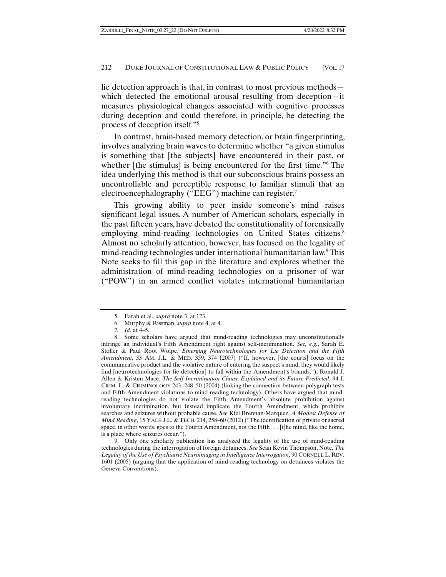lie detection approach is that, in contrast to most previous methods which detected the emotional arousal resulting from deception—it measures physiological changes associated with cognitive processes during deception and could therefore, in principle, be detecting the process of deception itself."5

In contrast, brain-based memory detection, or brain fingerprinting, involves analyzing brain waves to determine whether "a given stimulus is something that [the subjects] have encountered in their past, or whether [the stimulus] is being encountered for the first time."<sup>6</sup> The idea underlying this method is that our subconscious brains possess an uncontrollable and perceptible response to familiar stimuli that an electroencephalography ("EEG") machine can register.<sup>7</sup>

This growing ability to peer inside someone's mind raises significant legal issues. A number of American scholars, especially in the past fifteen years, have debated the constitutionality of forensically employing mind-reading technologies on United States citizens.<sup>8</sup> Almost no scholarly attention, however, has focused on the legality of mind-reading technologies under international humanitarian law.<sup>9</sup> This Note seeks to fill this gap in the literature and explores whether the administration of mind-reading technologies on a prisoner of war ("POW") in an armed conflict violates international humanitarian

 9. Only one scholarly publication has analyzed the legality of the use of mind-reading technologies during the interrogation of foreign detainees. *See* Sean Kevin Thompson, Note, *The Legality of the Use of Psychiatric Neuroimaging in Intelligence Interrogation*, 90 CORNELL L. REV. 1601 (2005) (arguing that the application of mind-reading technology on detainees violates the Geneva Conventions).

 <sup>5.</sup> Farah et al., *supra* note 3, at 123.

 <sup>6.</sup> Murphy & Rissman, *supra* note 4, at 4.

<sup>7</sup>*. Id.* at 4–5.

 <sup>8.</sup> Some scholars have argued that mind-reading technologies may unconstitutionally infringe an individual's Fifth Amendment right against self-incrimination. *See, e.g.*, Sarah E. Stoller & Paul Root Wolpe, *Emerging Neurotechnologies for Lie Detection and the Fifth Amendment*, 33 AM. J.L. & MED. 359, 374 (2007) ("If, however, [the courts] focus on the communicative product and the violative nature of entering the suspect's mind, they would likely find [neurotechnologies for lie detection] to fall within the Amendment's bounds."); Ronald J. Allen & Kristen Mace, *The Self-Incrimination Clause Explained and its Future Predicted*, 94 J. CRIM. L. & CRIMINOLOGY 243, 248–50 (2004) (linking the connection between polygraph tests and Fifth Amendment violations to mind-reading technology). Others have argued that mindreading technologies do not violate the Fifth Amendment's absolute prohibition against involuntary incrimination, but instead implicate the Fourth Amendment, which prohibits searches and seizures without probable cause. *See* Kiel Brennan-Marquez, *A Modest Defense of Mind Reading*, 15 YALE J.L. & TECH. 214, 258–60 (2012) ("The identification of private or sacred space, in other words, goes to the Fourth Amendment, not the Fifth . . . [t]he mind, like the home, is a place where seizures occur.").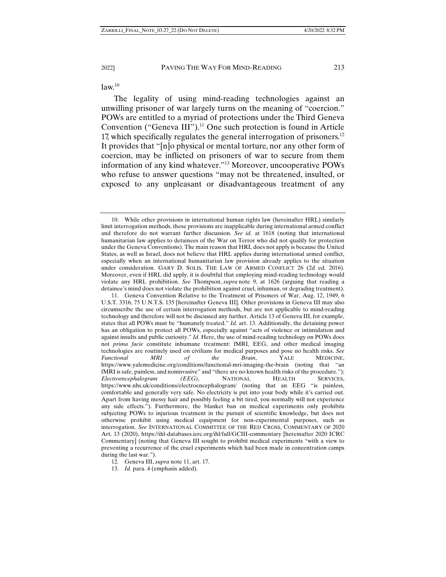$law<sup>10</sup>$ 

The legality of using mind-reading technologies against an unwilling prisoner of war largely turns on the meaning of "coercion." POWs are entitled to a myriad of protections under the Third Geneva Convention ("Geneva III").<sup>11</sup> One such protection is found in Article 17, which specifically regulates the general interrogation of prisoners.<sup>12</sup> It provides that "[n]o physical or mental torture, nor any other form of coercion, may be inflicted on prisoners of war to secure from them information of any kind whatever."13 Moreover, uncooperative POWs who refuse to answer questions "may not be threatened, insulted, or exposed to any unpleasant or disadvantageous treatment of any

13. *Id.* para. 4 (emphasis added).

 <sup>10.</sup> While other provisions in international human rights law (hereinafter HRL) similarly limit interrogation methods, these provisions are inapplicable during international armed conflict and therefore do not warrant further discussion. *See id.* at 1618 (noting that international humanitarian law applies to detainees of the War on Terror who did not qualify for protection under the Geneva Conventions). The main reason that HRL does not apply is because the United States, as well as Israel, does not believe that HRL applies during international armed conflict, especially when an international humanitarian law provision already applies to the situation under consideration. GARY D. SOLIS, THE LAW OF ARMED CONFLICT 26 (2d ed. 2016). Moreover, even if HRL did apply, it is doubtful that employing mind-reading technology would violate any HRL prohibition. *See* Thompson, *supra* note 9, at 1626 (arguing that reading a detainee's mind does not violate the prohibition against cruel, inhuman, or degrading treatment).

 <sup>11.</sup> Geneva Convention Relative to the Treatment of Prisoners of War, Aug. 12, 1949, 6 U.S.T. 3316, 75 U.N.T.S. 135 [hereinafter Geneva III]. Other provisions in Geneva III may also circumscribe the use of certain interrogation methods, but are not applicable to mind-reading technology and therefore will not be discussed any further. Article 13 of Geneva III, for example, states that all POWs must be "humanely treated." *Id.* art. 13. Additionally, the detaining power has an obligation to protect all POWs, especially against "acts of violence or intimidation and against insults and public curiosity." *Id.* Here, the use of mind-reading technology on POWs does not *prima facie* constitute inhumane treatment: fMRI, EEG, and other medical imaging technologies are routinely used on civilians for medical purposes and pose no health risks. *See Functional MRI of the Brain*, YALE MEDICINE, https://www.yalemedicine.org/conditions/functional-mri-imaging-the-brain (noting that "an fMRI is safe, painless, and noninvasive" and "there are no known health risks of the procedure."); *Electroencephalogram (EEG)*, NATIONAL HEALTH SERVICES, https://www.nhs.uk/conditions/electroencephalogram/ (noting that an EEG "is painless, comfortable and generally very safe. No electricity is put into your body while it's carried out. Apart from having messy hair and possibly feeling a bit tired, you normally will not experience any side effects."). Furthermore, the blanket ban on medical experiments only prohibits subjecting POWs to injurious treatment in the pursuit of scientific knowledge, but does not otherwise prohibit using medical equipment for non-experimental purposes, such as interrogation. *See* INTERNATIONAL COMMITTEE OF THE RED CROSS, COMMENTARY OF 2020 Art. 13 (2020), https://ihl-databases.icrc.org/ihl/full/GCIII-commentary [hereinafter 2020 ICRC Commentary] (noting that Geneva III sought to prohibit medical experiments "with a view to preventing a recurrence of the cruel experiments which had been made in concentration camps during the last war.").

<sup>12</sup>*.* Geneva III, *supra* note 11, art. 17.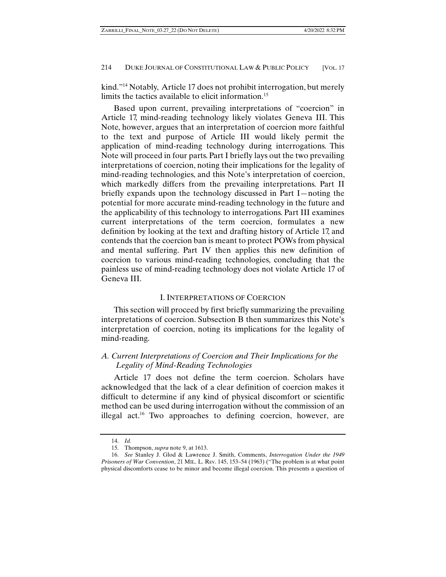kind."14 Notably, Article 17 does not prohibit interrogation, but merely limits the tactics available to elicit information.<sup>15</sup>

Based upon current, prevailing interpretations of "coercion" in Article 17, mind-reading technology likely violates Geneva III. This Note, however, argues that an interpretation of coercion more faithful to the text and purpose of Article III would likely permit the application of mind-reading technology during interrogations. This Note will proceed in four parts. Part I briefly lays out the two prevailing interpretations of coercion, noting their implications for the legality of mind-reading technologies, and this Note's interpretation of coercion, which markedly differs from the prevailing interpretations. Part II briefly expands upon the technology discussed in Part I—noting the potential for more accurate mind-reading technology in the future and the applicability of this technology to interrogations. Part III examines current interpretations of the term coercion, formulates a new definition by looking at the text and drafting history of Article 17, and contends that the coercion ban is meant to protect POWs from physical and mental suffering. Part IV then applies this new definition of coercion to various mind-reading technologies, concluding that the painless use of mind-reading technology does not violate Article 17 of Geneva III.

## I. INTERPRETATIONS OF COERCION

This section will proceed by first briefly summarizing the prevailing interpretations of coercion. Subsection B then summarizes this Note's interpretation of coercion, noting its implications for the legality of mind-reading.

## *A. Current Interpretations of Coercion and Their Implications for the Legality of Mind-Reading Technologies*

Article 17 does not define the term coercion. Scholars have acknowledged that the lack of a clear definition of coercion makes it difficult to determine if any kind of physical discomfort or scientific method can be used during interrogation without the commission of an illegal act.<sup>16</sup> Two approaches to defining coercion, however, are

 <sup>14.</sup> *Id.*

 <sup>15.</sup> Thompson, *supra* note 9, at 1613.

 <sup>16.</sup> *See* Stanley J. Glod & Lawrence J. Smith, Comments, *Interrogation Under the 1949 Prisoners of War Convention*, 21 MIL. L. REV. 145, 153–54 (1963) ("The problem is at what point physical discomforts cease to be minor and become illegal coercion. This presents a question of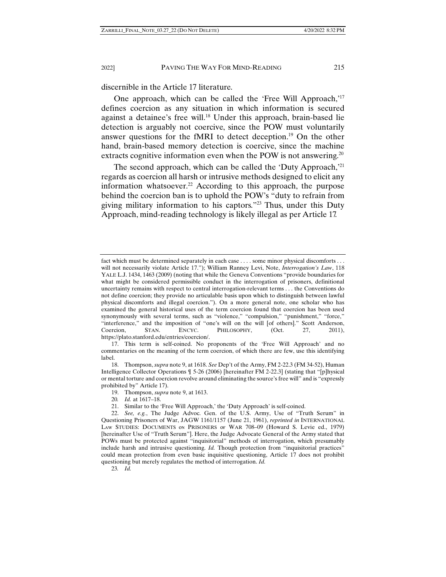discernible in the Article 17 literature.

One approach, which can be called the 'Free Will Approach,'<sup>17</sup> defines coercion as any situation in which information is secured against a detainee's free will.<sup>18</sup> Under this approach, brain-based lie detection is arguably not coercive, since the POW must voluntarily answer questions for the fMRI to detect deception.19 On the other hand, brain-based memory detection is coercive, since the machine extracts cognitive information even when the POW is not answering.<sup>20</sup>

The second approach, which can be called the 'Duty Approach,'<sup>21</sup> regards as coercion all harsh or intrusive methods designed to elicit any information whatsoever.<sup>22</sup> According to this approach, the purpose behind the coercion ban is to uphold the POW's "duty to refrain from giving military information to his captors."23 Thus, under this Duty Approach, mind-reading technology is likely illegal as per Article 17.

23*. Id.*

fact which must be determined separately in each case . . . . some minor physical discomforts . . . will not necessarily violate Article 17."); William Ranney Levi, Note, *Interrogation's Law*, 118 YALE L.J. 1434, 1463 (2009) (noting that while the Geneva Conventions "provide boundaries for what might be considered permissible conduct in the interrogation of prisoners, definitional uncertainty remains with respect to central interrogation-relevant terms . . . the Conventions do not define coercion; they provide no articulable basis upon which to distinguish between lawful physical discomforts and illegal coercion."). On a more general note, one scholar who has examined the general historical uses of the term coercion found that coercion has been used synonymously with several terms, such as "violence," "compulsion," "punishment," "force," "interference," and the imposition of "one's will on the will [of others]." Scott Anderson, Coercion, STAN. ENCYC. PHILOSOPHY, (Oct. 27, 2011), https://plato.stanford.edu/entries/coercion/.

 <sup>17.</sup> This term is self-coined. No proponents of the 'Free Will Approach' and no commentaries on the meaning of the term coercion, of which there are few, use this identifying label.

 <sup>18.</sup> Thompson, *supra* note 9, at 1618. *See* Dep't of the Army, FM 2-22.3 (FM 34-52), Human Intelligence Collector Operations ¶ 5-26 (2006) [hereinafter FM 2-22.3] (stating that "[p]hysical or mental torture and coercion revolve around eliminating the source's free will" and is "expressly prohibited by" Article 17).

 <sup>19.</sup> Thompson, *supra* note 9, at 1613.

<sup>20</sup>*. Id.* at 1617–18.

 <sup>21.</sup> Similar to the 'Free Will Approach,' the 'Duty Approach' is self-coined.

 <sup>22.</sup> *See, e.g.*, The Judge Advoc. Gen. of the U.S. Army, Use of "Truth Serum" in Questioning Prisoners of War, JAGW 1161/1157 (June 21, 1961), *reprinted in* INTERNATIONAL LAW STUDIES: DOCUMENTS ON PRISONERS OF WAR 708–09 (Howard S. Levie ed., 1979) [hereinafter Use of "Truth Serum"]. Here, the Judge Advocate General of the Army stated that POWs must be protected against "inquisitorial" methods of interrogation, which presumably include harsh and intrusive questioning. *Id.* Though protection from "inquisitorial practices" could mean protection from even basic inquisitive questioning, Article 17 does not prohibit questioning but merely regulates the method of interrogation. *Id.*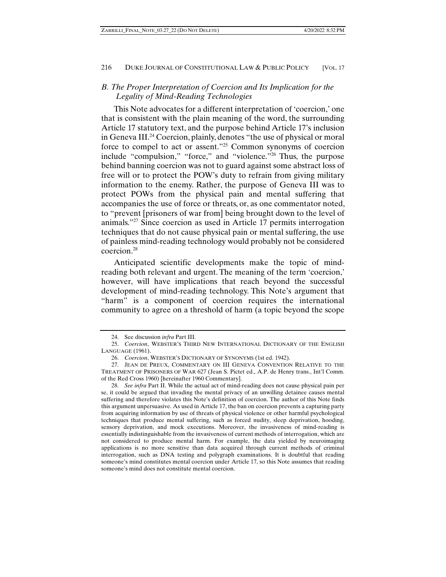## *B. The Proper Interpretation of Coercion and Its Implication for the Legality of Mind-Reading Technologies*

This Note advocates for a different interpretation of 'coercion,' one that is consistent with the plain meaning of the word, the surrounding Article 17 statutory text, and the purpose behind Article 17's inclusion in Geneva III.24 Coercion, plainly, denotes "the use of physical or moral force to compel to act or assent."25 Common synonyms of coercion include "compulsion," "force," and "violence."26 Thus, the purpose behind banning coercion was not to guard against some abstract loss of free will or to protect the POW's duty to refrain from giving military information to the enemy. Rather, the purpose of Geneva III was to protect POWs from the physical pain and mental suffering that accompanies the use of force or threats, or, as one commentator noted, to "prevent [prisoners of war from] being brought down to the level of animals."27 Since coercion as used in Article 17 permits interrogation techniques that do not cause physical pain or mental suffering, the use of painless mind-reading technology would probably not be considered coercion.28

Anticipated scientific developments make the topic of mindreading both relevant and urgent. The meaning of the term 'coercion,' however, will have implications that reach beyond the successful development of mind-reading technology. This Note's argument that "harm" is a component of coercion requires the international community to agree on a threshold of harm (a topic beyond the scope

 <sup>24.</sup> See discussion *infra* Part III.

 <sup>25.</sup> *Coercion*, WEBSTER'S THIRD NEW INTERNATIONAL DICTIONARY OF THE ENGLISH LANGUAGE (1961).

 <sup>26.</sup> *Coercion*, WEBSTER'S DICTIONARY OF SYNONYMS (1st ed. 1942).

 <sup>27.</sup> JEAN DE PREUX, COMMENTARY ON III GENEVA CONVENTION RELATIVE TO THE TREATMENT OF PRISONERS OF WAR 627 (Jean S. Pictet ed., A.P. de Henry trans., Int'l Comm. of the Red Cross 1960) [hereinafter 1960 Commentary].

 <sup>28.</sup> *See infra* Part II. While the actual act of mind-reading does not cause physical pain per se, it could be argued that invading the mental privacy of an unwilling detainee causes mental suffering and therefore violates this Note's definition of coercion. The author of this Note finds this argument unpersuasive. As used in Article 17, the ban on coercion prevents a capturing party from acquiring information by use of threats of physical violence or other harmful psychological techniques that produce mental suffering, such as forced nudity, sleep deprivation, hooding, sensory deprivation, and mock executions. Moreover, the invasiveness of mind-reading is essentially indistinguishable from the invasiveness of current methods of interrogation, which are not considered to produce mental harm. For example, the data yielded by neuroimaging applications is no more sensitive than data acquired through current methods of criminal interrogation, such as DNA testing and polygraph examinations. It is doubtful that reading someone's mind constitutes mental coercion under Article 17, so this Note assumes that reading someone's mind does not constitute mental coercion.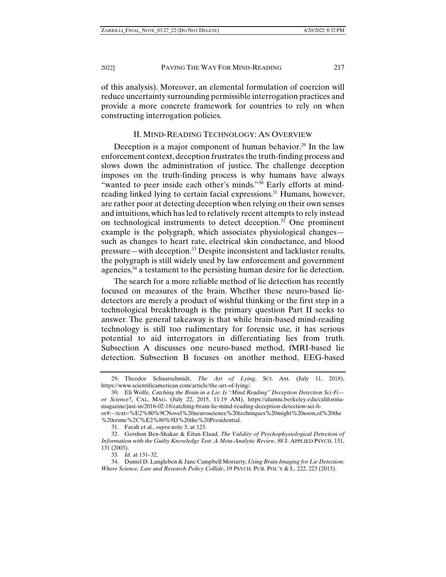of this analysis). Moreover, an elemental formulation of coercion will reduce uncertainty surrounding permissible interrogation practices and provide a more concrete framework for countries to rely on when constructing interrogation policies.

#### II. MIND-READING TECHNOLOGY: AN OVERVIEW

Deception is a major component of human behavior.<sup>29</sup> In the law enforcement context, deception frustrates the truth-finding process and slows down the administration of justice. The challenge deception imposes on the truth-finding process is why humans have always "wanted to peer inside each other's minds."<sup>30</sup> Early efforts at mindreading linked lying to certain facial expressions.<sup>31</sup> Humans, however, are rather poor at detecting deception when relying on their own senses and intuitions, which has led to relatively recent attempts to rely instead on technological instruments to detect deception.32 One prominent example is the polygraph, which associates physiological changes such as changes to heart rate, electrical skin conductance, and blood pressure—with deception.33 Despite inconsistent and lackluster results, the polygraph is still widely used by law enforcement and government agencies,<sup>34</sup> a testament to the persisting human desire for lie detection.

The search for a more reliable method of lie detection has recently focused on measures of the brain. Whether these neuro-based liedetectors are merely a product of wishful thinking or the first step in a technological breakthrough is the primary question Part II seeks to answer. The general takeaway is that while brain-based mind-reading technology is still too rudimentary for forensic use, it has serious potential to aid interrogators in differentiating lies from truth. Subsection A discusses one neuro-based method, fMRI-based lie detection. Subsection B focuses on another method, EEG-based

 <sup>29.</sup> Theodor Schaarschmidt, *The Art of Lying*, SCI. AM. (July 11, 2018), https://www.scientificamerican.com/article/the-art-of-lying/.

 <sup>30.</sup> Eli Wolfe, *Catching the Brain in a Lie: Is "Mind Reading" Deception Detection Sci-Fi or Science?*, CAL. MAG. (July 22, 2015, 11:19 AM), https://alumni.berkeley.edu/californiamagazine/just-in/2016-02-18/catching-brain-lie-mind-reading-deception-detection-sci-fior#:~:text=%E2%80%9CNovel%20neuroscience%20techniques%20might%20soon,of%20the %20crime%2C%E2%80%9D%20the%20Presidential.

 <sup>31.</sup> Farah et al., *supra* note 3, at 123.

 <sup>32.</sup> Gershon Ben-Shakar & Eitan Elaad, *The Validity of Psychophysiological Detection of Information with the Guilty Knowledge Test: A Meta-Analytic Review*, 88 J. APPLIED PSYCH. 131, 131 (2003).

<sup>33</sup>*. Id.* at 131–32.

 <sup>34.</sup> Daniel D. Langleben & Jane Campbell Moriarty, *Using Brain Imaging for Lie Detection: Where Science, Law and Research Policy Collide*, 19 PSYCH. PUB. POL'Y & L. 222, 223 (2013).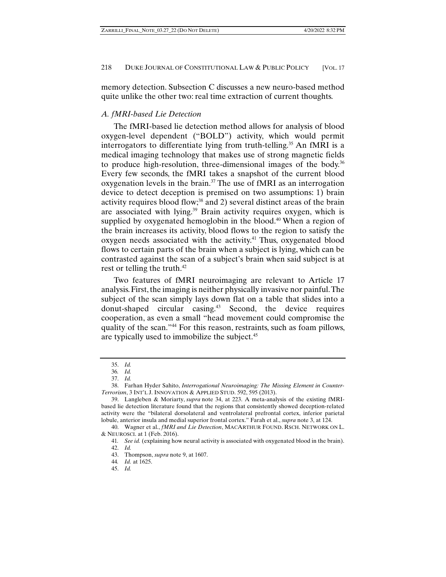memory detection. Subsection C discusses a new neuro-based method quite unlike the other two: real time extraction of current thoughts.

## *A. fMRI-based Lie Detection*

The fMRI-based lie detection method allows for analysis of blood oxygen-level dependent ("BOLD") activity, which would permit interrogators to differentiate lying from truth-telling.<sup>35</sup> An fMRI is a medical imaging technology that makes use of strong magnetic fields to produce high-resolution, three-dimensional images of the body.<sup>36</sup> Every few seconds, the fMRI takes a snapshot of the current blood oxygenation levels in the brain.<sup>37</sup> The use of fMRI as an interrogation device to detect deception is premised on two assumptions: 1) brain activity requires blood flow;<sup>38</sup> and 2) several distinct areas of the brain are associated with lying.<sup>39</sup> Brain activity requires oxygen, which is supplied by oxygenated hemoglobin in the blood.<sup>40</sup> When a region of the brain increases its activity, blood flows to the region to satisfy the oxygen needs associated with the activity.<sup>41</sup> Thus, oxygenated blood flows to certain parts of the brain when a subject is lying, which can be contrasted against the scan of a subject's brain when said subject is at rest or telling the truth.<sup>42</sup>

Two features of fMRI neuroimaging are relevant to Article 17 analysis. First, the imaging is neither physically invasive nor painful. The subject of the scan simply lays down flat on a table that slides into a donut-shaped circular casing.43 Second, the device requires cooperation, as even a small "head movement could compromise the quality of the scan."44 For this reason, restraints, such as foam pillows, are typically used to immobilize the subject.<sup>45</sup>

 <sup>35.</sup> *Id.*

<sup>36</sup>*. Id.*

 <sup>37.</sup> *Id.*

 <sup>38.</sup> Farhan Hyder Sahito, *Interrogational Neuroimaging: The Missing Element in Counter-Terrorism*, 3 INT'L J. INNOVATION & APPLIED STUD. 592, 595 (2013).

 <sup>39.</sup> Langleben & Moriarty, *supra* note 34, at 223. A meta-analysis of the existing fMRIbased lie detection literature found that the regions that consistently showed deception-related activity were the "bilateral dorsolateral and ventrolateral prefrontal cortex, inferior parietal lobule, anterior insula and medial superior frontal cortex." Farah et al., *supra* note 3, at 124.

 <sup>40.</sup> Wagner et al., *fMRI and Lie Detection*, MACARTHUR FOUND. RSCH. NETWORK ON L. & NEUROSCI. at 1 (Feb. 2016).

<sup>41</sup>*. See id.* (explaining how neural activity is associated with oxygenated blood in the brain).

 <sup>42.</sup> *Id.*

 <sup>43.</sup> Thompson, *supra* note 9, at 1607.

<sup>44</sup>*. Id.* at 1625.

 <sup>45.</sup> *Id.*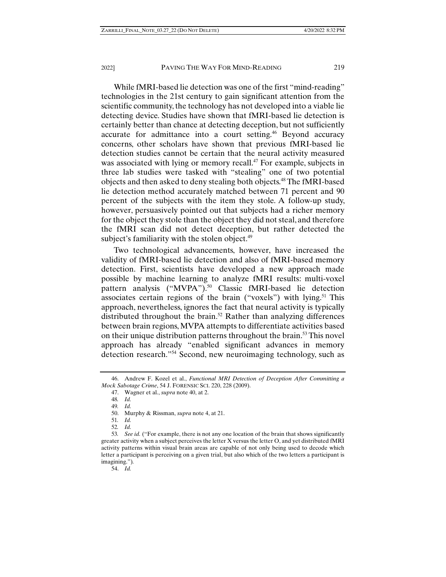While fMRI-based lie detection was one of the first "mind-reading" technologies in the 21st century to gain significant attention from the scientific community, the technology has not developed into a viable lie detecting device. Studies have shown that fMRI-based lie detection is certainly better than chance at detecting deception, but not sufficiently accurate for admittance into a court setting.<sup>46</sup> Beyond accuracy concerns, other scholars have shown that previous fMRI-based lie detection studies cannot be certain that the neural activity measured was associated with lying or memory recall.<sup>47</sup> For example, subjects in three lab studies were tasked with "stealing" one of two potential objects and then asked to deny stealing both objects.48 The fMRI-based lie detection method accurately matched between 71 percent and 90 percent of the subjects with the item they stole. A follow-up study, however, persuasively pointed out that subjects had a richer memory for the object they stole than the object they did not steal, and therefore the fMRI scan did not detect deception, but rather detected the subject's familiarity with the stolen object. $49$ 

Two technological advancements, however, have increased the validity of fMRI-based lie detection and also of fMRI-based memory detection. First, scientists have developed a new approach made possible by machine learning to analyze fMRI results: multi-voxel pattern analysis ("MVPA").<sup>50</sup> Classic fMRI-based lie detection associates certain regions of the brain ("voxels") with lying.<sup>51</sup> This approach, nevertheless, ignores the fact that neural activity is typically distributed throughout the brain.<sup>52</sup> Rather than analyzing differences between brain regions, MVPA attempts to differentiate activities based on their unique distribution patterns throughout the brain.<sup>53</sup> This novel approach has already "enabled significant advances in memory detection research."54 Second, new neuroimaging technology, such as

54. *Id.*

 <sup>46.</sup> Andrew F. Kozel et al., *Functional MRI Detection of Deception After Committing a Mock Sabotage Crime*, 54 J. FORENSIC SCI. 220, 228 (2009).

 <sup>47.</sup> Wagner et al., *supra* note 40, at 2.

<sup>48</sup>*. Id.*

<sup>49</sup>*. Id.*

 <sup>50.</sup> Murphy & Rissman, *supra* note 4, at 21.

<sup>51</sup>*. Id.*

<sup>52</sup>*. Id.*

<sup>53</sup>*. See id.* ("For example, there is not any one location of the brain that shows significantly greater activity when a subject perceives the letter X versus the letter O, and yet distributed fMRI activity patterns within visual brain areas are capable of not only being used to decode which letter a participant is perceiving on a given trial, but also which of the two letters a participant is imagining.")*.*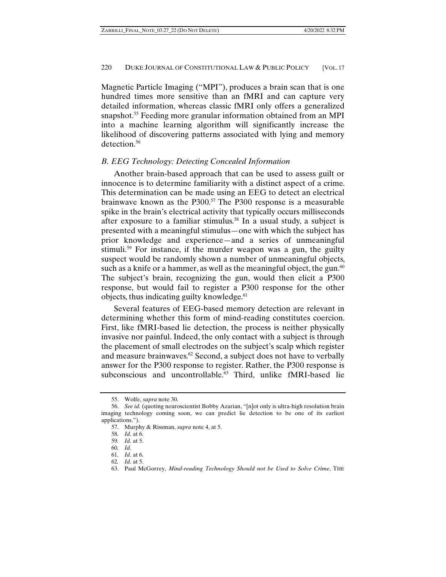Magnetic Particle Imaging ("MPI"), produces a brain scan that is one hundred times more sensitive than an fMRI and can capture very detailed information, whereas classic fMRI only offers a generalized snapshot.<sup>55</sup> Feeding more granular information obtained from an MPI into a machine learning algorithm will significantly increase the likelihood of discovering patterns associated with lying and memory detection.56

## *B. EEG Technology: Detecting Concealed Information*

Another brain-based approach that can be used to assess guilt or innocence is to determine familiarity with a distinct aspect of a crime. This determination can be made using an EEG to detect an electrical brainwave known as the  $P300$ .<sup>57</sup> The P300 response is a measurable spike in the brain's electrical activity that typically occurs milliseconds after exposure to a familiar stimulus.<sup>58</sup> In a usual study, a subject is presented with a meaningful stimulus—one with which the subject has prior knowledge and experience—and a series of unmeaningful stimuli.<sup>59</sup> For instance, if the murder weapon was a gun, the guilty suspect would be randomly shown a number of unmeaningful objects, such as a knife or a hammer, as well as the meaningful object, the gun.<sup>60</sup> The subject's brain, recognizing the gun, would then elicit a P300 response, but would fail to register a P300 response for the other objects, thus indicating guilty knowledge.<sup>61</sup>

Several features of EEG-based memory detection are relevant in determining whether this form of mind-reading constitutes coercion. First, like fMRI-based lie detection, the process is neither physically invasive nor painful. Indeed, the only contact with a subject is through the placement of small electrodes on the subject's scalp which register and measure brainwaves. $62$  Second, a subject does not have to verbally answer for the P300 response to register. Rather, the P300 response is subconscious and uncontrollable.<sup>63</sup> Third, unlike fMRI-based lie

 <sup>55.</sup> Wolfe, *supra* note 30.

 <sup>56.</sup> *See id.* (quoting neuroscientist Bobby Azarian, "[n]ot only is ultra-high resolution brain imaging technology coming soon, we can predict lie detection to be one of its earliest applications.").

 <sup>57.</sup> Murphy & Rissman, *supra* note 4, at 5.

<sup>58</sup>*. Id.* at 6.

<sup>59</sup>*. Id.* at 5.

<sup>60</sup>*. Id.*

<sup>61</sup>*. Id.* at 6.

<sup>62</sup>*. Id.* at 5.

 <sup>63.</sup> Paul McGorrey, *Mind-reading Technology Should not be Used to Solve Crime*, THE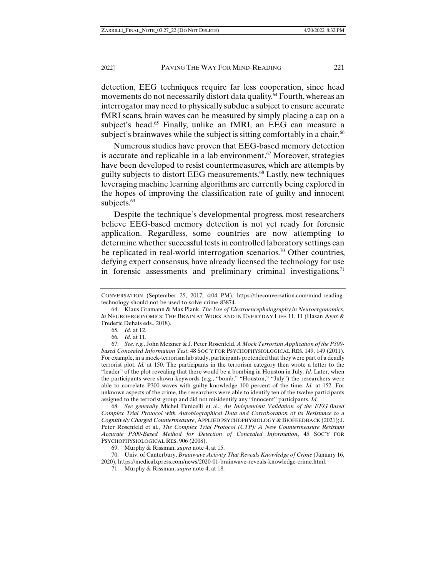detection, EEG techniques require far less cooperation, since head movements do not necessarily distort data quality.<sup>64</sup> Fourth, whereas an interrogator may need to physically subdue a subject to ensure accurate fMRI scans, brain waves can be measured by simply placing a cap on a subject's head. $65$  Finally, unlike an fMRI, an EEG can measure a subject's brainwaves while the subject is sitting comfortably in a chair.<sup>66</sup>

Numerous studies have proven that EEG-based memory detection is accurate and replicable in a lab environment.<sup>67</sup> Moreover, strategies have been developed to resist countermeasures, which are attempts by guilty subjects to distort EEG measurements.68 Lastly, new techniques leveraging machine learning algorithms are currently being explored in the hopes of improving the classification rate of guilty and innocent subjects.<sup>69</sup>

Despite the technique's developmental progress, most researchers believe EEG-based memory detection is not yet ready for forensic application. Regardless, some countries are now attempting to determine whether successful tests in controlled laboratory settings can be replicated in real-world interrogation scenarios.<sup>70</sup> Other countries, defying expert consensus, have already licensed the technology for use in forensic assessments and preliminary criminal investigations.<sup>71</sup>

 68. *See generally* Michel Funicelli et al., *An Independent Validation of the EEG Based Complex Trial Protocol with Autobiographical Data and Corroboration of its Resistance to a Cognitively Charged Countermeasure*, APPLIED PSYCHOPHYSIOLOGY & BIOFEEDBACK (2021); J. Peter Rosenfeld et al., *The Complex Trial Protocol (CTP): A New Countermeasure Resistant Accurate P300-Based Method for Detection of Concealed Information*, 45 SOC'Y FOR PSYCHOPHYSIOLOGICAL RES. 906 (2008).

69. Murphy & Rissman, *supra* note 4, at 15.

 70. Univ. of Canterbury, *Brainwave Activity That Reveals Knowledge of Crime* (January 16, 2020), https://medicalxpress.com/news/2020-01-brainwave-reveals-knowledge-crime.html.

CONVERSATION (September 25, 2017, 4:04 PM), https://theconversation.com/mind-readingtechnology-should-not-be-used-to-solve-crime-83874.

 <sup>64.</sup> Klaus Gramann & Max Plank, *The Use of Electroencephalography in Neuroergonomics*, *in* NEUROERGONOMICS: THE BRAIN AT WORK AND IN EVERYDAY LIFE 11, 11 (Hasan Ayaz & Frederic Dehais eds., 2018).

<sup>65</sup>*. Id.* at 12.

<sup>66</sup>*. Id.* at 11.

 <sup>67.</sup> *See, e.g.*, John Meixner & J. Peter Rosenfeld, *A Mock Terrorism Application of the P300 based Concealed Information Test*, 48 SOC'Y FOR PSYCHOPHYSIOLOGICAL RES. 149, 149 (2011). For example, in a mock-terrorism lab study, participants pretended that they were part of a deadly terrorist plot. *Id.* at 150. The participants in the terrorism category then wrote a letter to the "leader" of the plot revealing that there would be a bombing in Houston in July. *Id.* Later, when the participants were shown keywords (e.g., "bomb," "Houston," "July") the researchers were able to correlate P300 waves with guilty knowledge 100 percent of the time. *Id.* at 152. For unknown aspects of the crime, the researchers were able to identify ten of the twelve participants assigned to the terrorist group and did not misidentify any "innocent" participants. *Id.*

 <sup>71.</sup> Murphy & Rissman, *supra* note 4, at 18.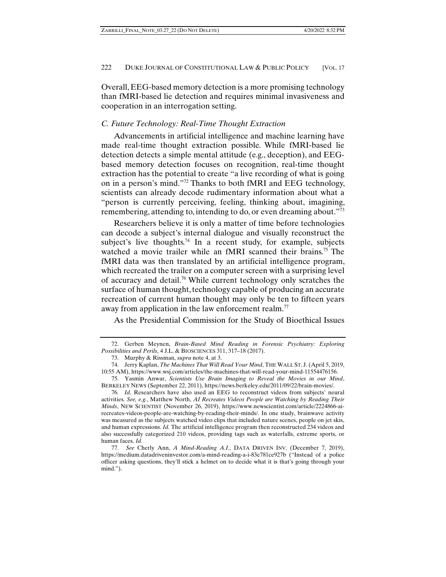Overall, EEG-based memory detection is a more promising technology than fMRI-based lie detection and requires minimal invasiveness and cooperation in an interrogation setting.

## *C. Future Technology: Real-Time Thought Extraction*

Advancements in artificial intelligence and machine learning have made real-time thought extraction possible. While fMRI-based lie detection detects a simple mental attitude (e.g., deception), and EEGbased memory detection focuses on recognition, real-time thought extraction has the potential to create "a live recording of what is going on in a person's mind."72 Thanks to both fMRI and EEG technology, scientists can already decode rudimentary information about what a "person is currently perceiving, feeling, thinking about, imagining, remembering, attending to, intending to do, or even dreaming about."73

Researchers believe it is only a matter of time before technologies can decode a subject's internal dialogue and visually reconstruct the subject's live thoughts.<sup>74</sup> In a recent study, for example, subjects watched a movie trailer while an fMRI scanned their brains.<sup>75</sup> The fMRI data was then translated by an artificial intelligence program, which recreated the trailer on a computer screen with a surprising level of accuracy and detail.76 While current technology only scratches the surface of human thought, technology capable of producing an accurate recreation of current human thought may only be ten to fifteen years away from application in the law enforcement realm.<sup>77</sup>

As the Presidential Commission for the Study of Bioethical Issues

 <sup>72.</sup> Gerben Meynen, *Brain-Based Mind Reading in Forensic Psychiatry: Exploring Possibilities and Perils*, 4 J.L. & BIOSCIENCES 311, 317–18 (2017).

 <sup>73.</sup> Murphy & Rissman, *supra* note 4, at 3.

 <sup>74.</sup> Jerry Kaplan, *The Machines That Will Read Your Mind*, THE WALL ST. J. (April 5, 2019, 10:55 AM), https://www.wsj.com/articles/the-machines-that-will-read-your-mind-11554476156.

 <sup>75.</sup> Yasmin Anwar, *Scientists Use Brain Imaging to Reveal the Movies in our Mind*, BERKELEY NEWS (September 22, 2011), https://news.berkeley.edu/2011/09/22/brain-movies/.

<sup>76</sup>*. Id.* Researchers have also used an EEG to reconstruct videos from subjects' neural activities. *See, e.g.*, Matthew North, *AI Recreates Videos People are Watching by Reading Their Minds*, NEW SCIENTIST (November 26, 2019), https://www.newscientist.com/article/2224866-airecreates-videos-people-are-watching-by-reading-their-minds/. In one study, brainwave activity was measured as the subjects watched video clips that included nature scenes, people on jet skis, and human expressions. *Id.* The artificial intelligence program then reconstructed 234 videos and also successfully categorized 210 videos, providing tags such as waterfalls, extreme sports, or human faces. *Id.*

 <sup>77.</sup> *See* Cherly Ann, *A Mind-Reading A.I*., DATA DRIVEN INV. (December 7, 2019), https://medium.datadriveninvestor.com/a-mind-reading-a-i-83e781ce927b ("Instead of a police officer asking questions, they'll stick a helmet on to decide what it is that's going through your mind.").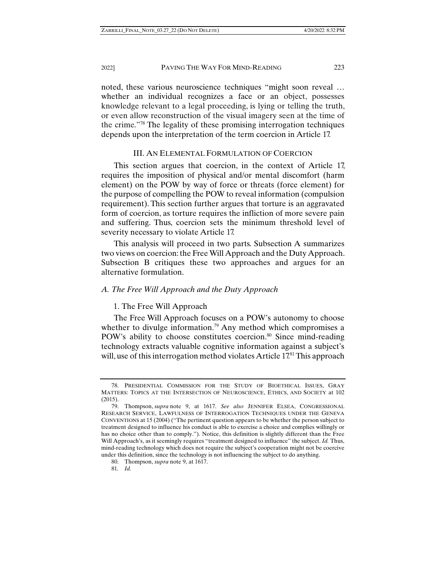noted, these various neuroscience techniques "might soon reveal … whether an individual recognizes a face or an object, possesses knowledge relevant to a legal proceeding, is lying or telling the truth, or even allow reconstruction of the visual imagery seen at the time of the crime."78 The legality of these promising interrogation techniques depends upon the interpretation of the term coercion in Article 17.

#### III. AN ELEMENTAL FORMULATION OF COERCION

This section argues that coercion, in the context of Article 17, requires the imposition of physical and/or mental discomfort (harm element) on the POW by way of force or threats (force element) for the purpose of compelling the POW to reveal information (compulsion requirement). This section further argues that torture is an aggravated form of coercion, as torture requires the infliction of more severe pain and suffering. Thus, coercion sets the minimum threshold level of severity necessary to violate Article 17.

This analysis will proceed in two parts. Subsection A summarizes two views on coercion: the Free Will Approach and the Duty Approach. Subsection B critiques these two approaches and argues for an alternative formulation.

#### *A. The Free Will Approach and the Duty Approach*

#### 1. The Free Will Approach

The Free Will Approach focuses on a POW's autonomy to choose whether to divulge information.<sup>79</sup> Any method which compromises a POW's ability to choose constitutes coercion.<sup>80</sup> Since mind-reading technology extracts valuable cognitive information against a subject's will, use of this interrogation method violates Article 17.81 This approach

 <sup>78.</sup> PRESIDENTIAL COMMISSION FOR THE STUDY OF BIOETHICAL ISSUES, GRAY MATTERS: TOPICS AT THE INTERSECTION OF NEUROSCIENCE, ETHICS, AND SOCIETY at 102 (2015).

 <sup>79.</sup> Thompson, *supra* note 9, at 1617. *See also* JENNIFER ELSEA, CONGRESSIONAL RESEARCH SERVICE, LAWFULNESS OF INTERROGATION TECHNIQUES UNDER THE GENEVA CONVENTIONS at 15 (2004) ("The pertinent question appears to be whether the person subject to treatment designed to influence his conduct is able to exercise a choice and complies willingly or has no choice other than to comply."). Notice, this definition is slightly different than the Free Will Approach's, as it seemingly requires "treatment designed to influence" the subject. *Id.* Thus, mind-reading technology which does not require the subject's cooperation might not be coercive under this definition, since the technology is not influencing the subject to do anything.

 <sup>80.</sup> Thompson, *supra* note 9, at 1617.

<sup>81</sup>*. Id.*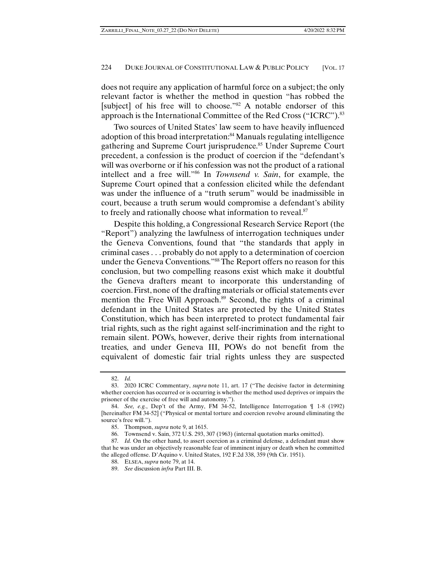does not require any application of harmful force on a subject; the only relevant factor is whether the method in question "has robbed the [subject] of his free will to choose."<sup>82</sup> A notable endorser of this approach is the International Committee of the Red Cross ("ICRC").<sup>83</sup>

Two sources of United States' law seem to have heavily influenced adoption of this broad interpretation:<sup>84</sup> Manuals regulating intelligence gathering and Supreme Court jurisprudence.<sup>85</sup> Under Supreme Court precedent, a confession is the product of coercion if the "defendant's will was overborne or if his confession was not the product of a rational intellect and a free will."86 In *Townsend v. Sain*, for example, the Supreme Court opined that a confession elicited while the defendant was under the influence of a "truth serum" would be inadmissible in court, because a truth serum would compromise a defendant's ability to freely and rationally choose what information to reveal.<sup>87</sup>

Despite this holding, a Congressional Research Service Report (the "Report") analyzing the lawfulness of interrogation techniques under the Geneva Conventions, found that "the standards that apply in criminal cases . . . probably do not apply to a determination of coercion under the Geneva Conventions."88 The Report offers no reason for this conclusion, but two compelling reasons exist which make it doubtful the Geneva drafters meant to incorporate this understanding of coercion. First, none of the drafting materials or official statements ever mention the Free Will Approach.<sup>89</sup> Second, the rights of a criminal defendant in the United States are protected by the United States Constitution, which has been interpreted to protect fundamental fair trial rights, such as the right against self-incrimination and the right to remain silent. POWs, however, derive their rights from international treaties, and under Geneva III, POWs do not benefit from the equivalent of domestic fair trial rights unless they are suspected

 <sup>82.</sup> *Id.*

 <sup>83. 2020</sup> ICRC Commentary, *supra* note 11, art. 17 ("The decisive factor in determining whether coercion has occurred or is occurring is whether the method used deprives or impairs the prisoner of the exercise of free will and autonomy.").

 <sup>84.</sup> *See, e.g.*, Dep't of the Army, FM 34-52, Intelligence Interrogation ¶ 1-8 (1992) [hereinafter FM 34-52] ("Physical or mental torture and coercion revolve around eliminating the source's free will.").

 <sup>85.</sup> Thompson, *supra* note 9, at 1615.

 <sup>86.</sup> Townsend v. Sain, 372 U.S. 293, 307 (1963) (internal quotation marks omitted).

<sup>87</sup>*. Id.* On the other hand, to assert coercion as a criminal defense, a defendant must show that he was under an objectively reasonable fear of imminent injury or death when he committed the alleged offense. D'Aquino v. United States, 192 F.2d 338, 359 (9th Cir. 1951).

 <sup>88.</sup> ELSEA, *supra* note 79, at 14.

 <sup>89.</sup> *See* discussion *infra* Part III. B.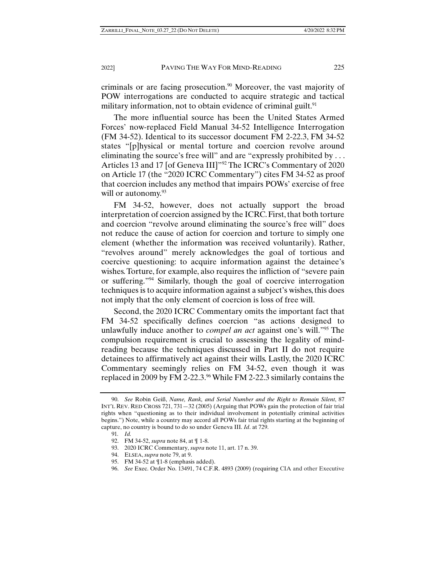criminals or are facing prosecution.<sup>90</sup> Moreover, the vast majority of POW interrogations are conducted to acquire strategic and tactical military information, not to obtain evidence of criminal guilt.<sup>91</sup>

The more influential source has been the United States Armed Forces' now-replaced Field Manual 34-52 Intelligence Interrogation (FM 34-52). Identical to its successor document FM 2-22.3, FM 34-52 states "[p]hysical or mental torture and coercion revolve around eliminating the source's free will" and are "expressly prohibited by ... Articles 13 and 17 [of Geneva III]"<sup>92</sup> The ICRC's Commentary of 2020 on Article 17 (the "2020 ICRC Commentary") cites FM 34-52 as proof that coercion includes any method that impairs POWs' exercise of free will or autonomy. $93$ 

FM 34-52, however, does not actually support the broad interpretation of coercion assigned by the ICRC. First, that both torture and coercion "revolve around eliminating the source's free will" does not reduce the cause of action for coercion and torture to simply one element (whether the information was received voluntarily). Rather, "revolves around" merely acknowledges the goal of tortious and coercive questioning: to acquire information against the detainee's wishes. Torture, for example, also requires the infliction of "severe pain or suffering."94 Similarly, though the goal of coercive interrogation techniques is to acquire information against a subject's wishes, this does not imply that the only element of coercion is loss of free will.

Second, the 2020 ICRC Commentary omits the important fact that FM 34-52 specifically defines coercion "as actions designed to unlawfully induce another to *compel an act* against one's will."95 The compulsion requirement is crucial to assessing the legality of mindreading because the techniques discussed in Part II do not require detainees to affirmatively act against their wills. Lastly, the 2020 ICRC Commentary seemingly relies on FM 34-52, even though it was replaced in 2009 by FM 2-22.3.96 While FM 2-22.3 similarly contains the

 <sup>90.</sup> *See* Robin Geiß, *Name, Rank, and Serial Number and the Right to Remain Silent*, 87 INT'L REV. RED CROSS 721, 731—32 (2005) (Arguing that POWs gain the protection of fair trial rights when "questioning as to their individual involvement in potentially criminal activities begins.") Note, while a country may accord all POWs fair trial rights starting at the beginning of capture, no country is bound to do so under Geneva III. *Id*. at 729.

<sup>91</sup>*. Id.*

 <sup>92.</sup> FM 34-52, *supra* note 84, at ¶ 1-8.

 <sup>93. 2020</sup> ICRC Commentary, *supra* note 11, art. 17 n. 39.

 <sup>94.</sup> ELSEA, *supra* note 79, at 9.

 <sup>95.</sup> FM 34-52 at ¶1-8 (emphasis added).

 <sup>96.</sup> *See* Exec. Order No. 13491, 74 C.F.R. 4893 (2009) (requiring CIA and other Executive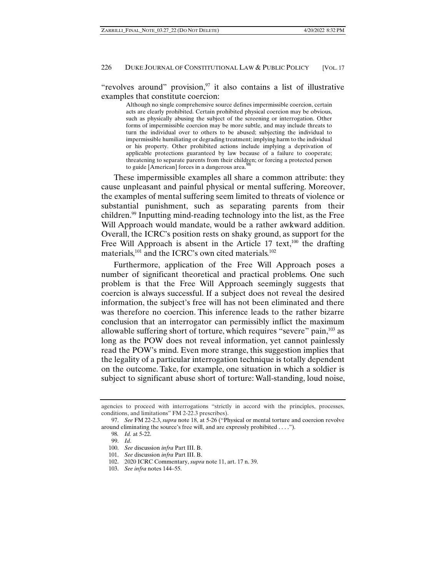## "revolves around" provision, $97$  it also contains a list of illustrative examples that constitute coercion:

Although no single comprehensive source defines impermissible coercion, certain acts are clearly prohibited. Certain prohibited physical coercion may be obvious, such as physically abusing the subject of the screening or interrogation. Other forms of impermissible coercion may be more subtle, and may include threats to turn the individual over to others to be abused; subjecting the individual to impermissible humiliating or degrading treatment; implying harm to the individual or his property. Other prohibited actions include implying a deprivation of applicable protections guaranteed by law because of a failure to cooperate; threatening to separate parents from their children; or forcing a protected person to guide [American] forces in a dangerous area. $98$ 

These impermissible examples all share a common attribute: they cause unpleasant and painful physical or mental suffering. Moreover, the examples of mental suffering seem limited to threats of violence or substantial punishment, such as separating parents from their children.99 Inputting mind-reading technology into the list, as the Free Will Approach would mandate, would be a rather awkward addition. Overall, the ICRC's position rests on shaky ground, as support for the Free Will Approach is absent in the Article 17 text, $100$  the drafting materials, $^{101}$  and the ICRC's own cited materials. $^{102}$ 

Furthermore, application of the Free Will Approach poses a number of significant theoretical and practical problems. One such problem is that the Free Will Approach seemingly suggests that coercion is always successful. If a subject does not reveal the desired information, the subject's free will has not been eliminated and there was therefore no coercion. This inference leads to the rather bizarre conclusion that an interrogator can permissibly inflict the maximum allowable suffering short of torture, which requires "severe" pain,<sup>103</sup> as long as the POW does not reveal information, yet cannot painlessly read the POW's mind. Even more strange, this suggestion implies that the legality of a particular interrogation technique is totally dependent on the outcome. Take, for example, one situation in which a soldier is subject to significant abuse short of torture: Wall-standing, loud noise,

agencies to proceed with interrogations "strictly in accord with the principles, processes, conditions, and limitations" FM 2-22.3 prescribes).

 <sup>97.</sup> *See* FM 22-2.3, *supra* note 18, at 5-26 ("Physical or mental torture and coercion revolve around eliminating the source's free will, and are expressly prohibited . . . .").

<sup>98</sup>*. Id.* at 5-22.

 <sup>99.</sup> *Id*.

 <sup>100.</sup> *See* discussion *infra* Part III. B.

 <sup>101.</sup> *See* discussion *infra* Part III. B.

 <sup>102. 2020</sup> ICRC Commentary, *supra* note 11, art. 17 n. 39.

 <sup>103.</sup> *See infra* notes 144–55.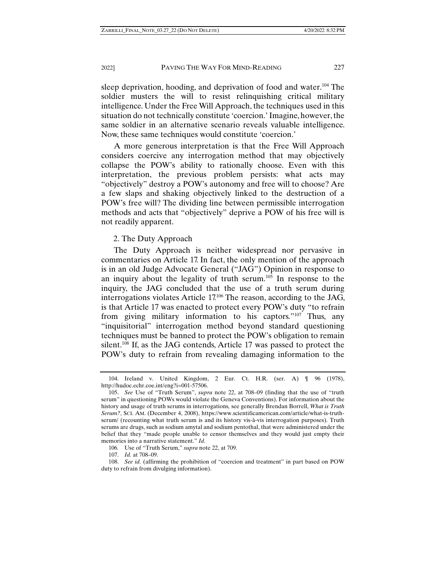sleep deprivation, hooding, and deprivation of food and water.<sup>104</sup> The soldier musters the will to resist relinquishing critical military intelligence. Under the Free Will Approach, the techniques used in this situation do not technically constitute 'coercion.' Imagine, however, the same soldier in an alternative scenario reveals valuable intelligence. Now, these same techniques would constitute 'coercion.'

A more generous interpretation is that the Free Will Approach considers coercive any interrogation method that may objectively collapse the POW's ability to rationally choose. Even with this interpretation, the previous problem persists: what acts may "objectively" destroy a POW's autonomy and free will to choose? Are a few slaps and shaking objectively linked to the destruction of a POW's free will? The dividing line between permissible interrogation methods and acts that "objectively" deprive a POW of his free will is not readily apparent.

#### 2. The Duty Approach

The Duty Approach is neither widespread nor pervasive in commentaries on Article 17. In fact, the only mention of the approach is in an old Judge Advocate General ("JAG") Opinion in response to an inquiry about the legality of truth serum.105 In response to the inquiry, the JAG concluded that the use of a truth serum during interrogations violates Article 17.106 The reason, according to the JAG, is that Article 17 was enacted to protect every POW's duty "to refrain from giving military information to his captors."<sup>107</sup> Thus, any "inquisitorial" interrogation method beyond standard questioning techniques must be banned to protect the POW's obligation to remain silent.<sup>108</sup> If, as the JAG contends, Article 17 was passed to protect the POW's duty to refrain from revealing damaging information to the

107. *Id.* at 708–09.

 <sup>104.</sup> Ireland v. United Kingdom, 2 Eur. Ct. H.R. (ser. A) ¶ 96 (1978), http://hudoc.echr.coe.int/eng?i=001-57506.

 <sup>105.</sup> *See* Use of "Truth Serum", *supra* note 22, at 708–09 (finding that the use of "truth serum" in questioning POWs would violate the Geneva Conventions). For information about the history and usage of truth serums in interrogations*,* see generally Brendan Borrell, *What is Truth Serum?*, SCI. AM. (December 4, 2008), https://www.scientificamerican.com/article/what-is-truthserum/ (recounting what truth serum is and its history vis-à-vis interrogation purposes). Truth serums are drugs, such as sodium amytal and sodium pentothal, that were administered under the belief that they "made people unable to censor themselves and they would just empty their memories into a narrative statement." *Id.*

<sup>106</sup>*.* Use of "Truth Serum," *supra* note 22, at 709.

 <sup>108.</sup> *See id.* (affirming the prohibition of "coercion and treatment" in part based on POW duty to refrain from divulging information).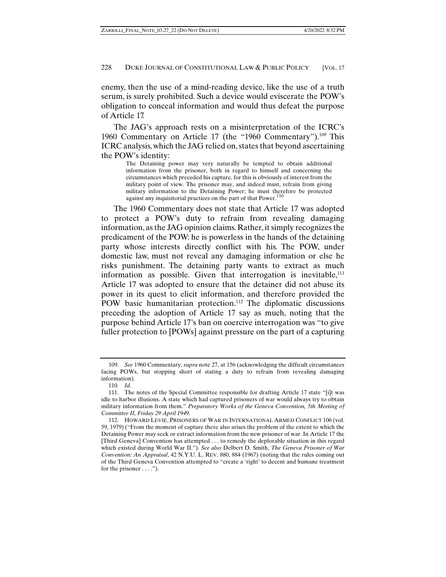enemy, then the use of a mind-reading device, like the use of a truth serum, is surely prohibited. Such a device would eviscerate the POW's obligation to conceal information and would thus defeat the purpose of Article 17.

The JAG's approach rests on a misinterpretation of the ICRC's 1960 Commentary on Article 17 (the "1960 Commentary").<sup>109</sup> This ICRC analysis, which the JAG relied on, states that beyond ascertaining the POW's identity:

> The Detaining power may very naturally be tempted to obtain additional information from the prisoner, both in regard to himself and concerning the circumstances which preceded his capture, for this is obviously of interest from the military point of view. The prisoner may, and indeed must, refrain from giving military information to the Detaining Power; he must therefore be protected against any inquisitorial practices on the part of that Power.<sup>110</sup>

The 1960 Commentary does not state that Article 17 was adopted to protect a POW's duty to refrain from revealing damaging information, as the JAG opinion claims. Rather, it simply recognizes the predicament of the POW: he is powerless in the hands of the detaining party whose interests directly conflict with his. The POW, under domestic law, must not reveal any damaging information or else he risks punishment. The detaining party wants to extract as much information as possible. Given that interrogation is inevitable, $111$ Article 17 was adopted to ensure that the detainer did not abuse its power in its quest to elicit information, and therefore provided the POW basic humanitarian protection.<sup>112</sup> The diplomatic discussions preceding the adoption of Article 17 say as much, noting that the purpose behind Article 17's ban on coercive interrogation was "to give fuller protection to [POWs] against pressure on the part of a capturing

 <sup>109.</sup> *See* 1960 Commentary, *supra* note 27, at 156 (acknowledging the difficult circumstances facing POWs, but stopping short of stating a duty to refrain from revealing damaging information).

<sup>110</sup>*. Id.*

 <sup>111.</sup> The notes of the Special Committee responsible for drafting Article 17 state "[i]t was idle to harbor illusions. A state which had captured prisoners of war would always try to obtain military information from them." *Preparatory Works of the Geneva Convention, 5th Meeting of Committee II, Friday 29 April 1949*.

 <sup>112.</sup> HOWARD LEVIE, PRISONERS OF WAR IN INTERNATIONAL ARMED CONFLICT 106 (vol. 59, 1979) ("From the moment of capture there also arises the problem of the extent to which the Detaining Power may seek or extract information from the new prisoner of war. In Article 17 the [Third Geneva] Convention has attempted . . . to remedy the deplorable situation in this regard which existed during World War II."). *See also* Delbert D. Smith, *The Geneva Prisoner of War Convention: An Appraisal*, 42 N.Y.U. L. REV. 880, 884 (1967) (noting that the rules coming out of the Third Geneva Convention attempted to "create a 'right' to decent and humane treatment for the prisoner  $\dots$ .").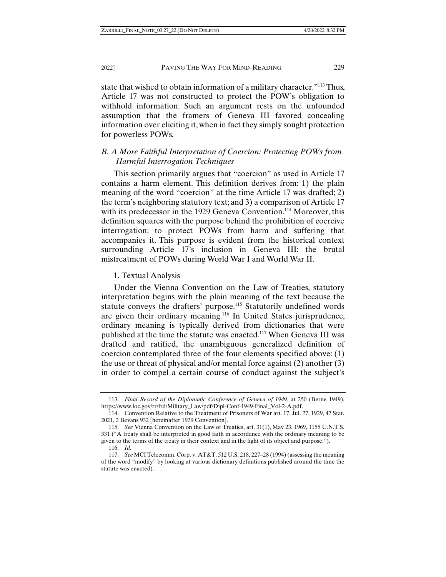state that wished to obtain information of a military character."113 Thus, Article 17 was not constructed to protect the POW's obligation to withhold information. Such an argument rests on the unfounded assumption that the framers of Geneva III favored concealing information over eliciting it, when in fact they simply sought protection for powerless POWs.

## *B. A More Faithful Interpretation of Coercion: Protecting POWs from Harmful Interrogation Techniques*

This section primarily argues that "coercion" as used in Article 17 contains a harm element. This definition derives from: 1) the plain meaning of the word "coercion" at the time Article 17 was drafted; 2) the term's neighboring statutory text; and 3) a comparison of Article 17 with its predecessor in the 1929 Geneva Convention.<sup>114</sup> Moreover, this definition squares with the purpose behind the prohibition of coercive interrogation: to protect POWs from harm and suffering that accompanies it. This purpose is evident from the historical context surrounding Article 17's inclusion in Geneva III: the brutal mistreatment of POWs during World War I and World War II.

1. Textual Analysis

Under the Vienna Convention on the Law of Treaties, statutory interpretation begins with the plain meaning of the text because the statute conveys the drafters' purpose.<sup>115</sup> Statutorily undefined words are given their ordinary meaning.116 In United States jurisprudence, ordinary meaning is typically derived from dictionaries that were published at the time the statute was enacted.117 When Geneva III was drafted and ratified, the unambiguous generalized definition of coercion contemplated three of the four elements specified above: (1) the use or threat of physical and/or mental force against (2) another (3) in order to compel a certain course of conduct against the subject's

 <sup>113.</sup> *Final Record of the Diplomatic Conference of Geneva of 1949*, at 250 (Berne 1949), https://www.loc.gov/rr/frd/Military\_Law/pdf/Dipl-Conf-1949-Final\_Vol-2-A.pdf.

 <sup>114.</sup> Convention Relative to the Treatment of Prisoners of War art. 17, Jul. 27, 1929, 47 Stat. 2021, 2 Bevans 932 [hereinafter 1929 Convention].

 <sup>115.</sup> *See* Vienna Convention on the Law of Treaties, art. 31(1), May 23, 1969, 1155 U.N.T.S. 331 ("A treaty shall be interpreted in good faith in accordance with the ordinary meaning to be given to the terms of the treaty in their context and in the light of its object and purpose."). 116. *Id.*

 <sup>117.</sup> *See* MCI Telecomm. Corp. v. AT&T, 512 U.S. 218, 227–28 (1994) (assessing the meaning of the word "modify" by looking at various dictionary definitions published around the time the statute was enacted).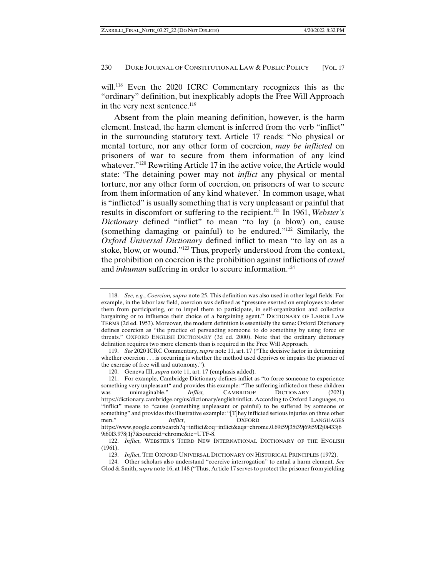will.<sup>118</sup> Even the 2020 ICRC Commentary recognizes this as the "ordinary" definition, but inexplicably adopts the Free Will Approach in the very next sentence.<sup>119</sup>

Absent from the plain meaning definition, however, is the harm element. Instead, the harm element is inferred from the verb "inflict" in the surrounding statutory text. Article 17 reads: "No physical or mental torture, nor any other form of coercion, *may be inflicted* on prisoners of war to secure from them information of any kind whatever."<sup>120</sup> Rewriting Article 17 in the active voice, the Article would state: 'The detaining power may not *inflict* any physical or mental torture, nor any other form of coercion, on prisoners of war to secure from them information of any kind whatever.' In common usage, what is "inflicted" is usually something that is very unpleasant or painful that results in discomfort or suffering to the recipient.121 In 1961, *Webster's Dictionary* defined "inflict" to mean "to lay (a blow) on, cause (something damaging or painful) to be endured."122 Similarly, the *Oxford Universal Dictionary* defined inflict to mean "to lay on as a stoke, blow, or wound."123 Thus, properly understood from the context, the prohibition on coercion is the prohibition against inflictions of *cruel* and *inhuman* suffering in order to secure information.<sup>124</sup>

 <sup>118.</sup> *See, e.g.*, *Coercion, supra* note 25. This definition was also used in other legal fields: For example, in the labor law field, coercion was defined as "pressure exerted on employees to deter them from participating, or to impel them to participate, in self-organization and collective bargaining or to influence their choice of a bargaining agent." DICTIONARY OF LABOR LAW TERMS (2d ed. 1953). Moreover, the modern definition is essentially the same: Oxford Dictionary defines coercion as "the practice of persuading someone to do something by using force or threats." OXFORD ENGLISH DICTIONARY (3d ed. 2000). Note that the ordinary dictionary definition requires two more elements than is required in the Free Will Approach.

 <sup>119.</sup> *See* 2020 ICRC Commentary, *supra* note 11, art. 17 ("The decisive factor in determining whether coercion . . . is occurring is whether the method used deprives or impairs the prisoner of the exercise of free will and autonomy.").

 <sup>120.</sup> Geneva III, *supra* note 11, art. 17 (emphasis added).

 <sup>121.</sup> For example, Cambridge Dictionary defines inflict as "to force someone to experience something very unpleasant" and provides this example: "The suffering inflicted on these children was unimaginable." *Inflict,* CAMBRIDGE DICTIONARY (2021) https://dictionary.cambridge.org/us/dictionary/english/inflict. According to Oxford Languages, to "inflict" means to "cause (something unpleasant or painful) to be suffered by someone or something" and provides this illustrative example: "[T]hey inflicted serious injuries on three other men." *Inflict*, OXFORD LANGUAGES https://www.google.com/search?q=inflict&oq=inflict&aqs=chrome.0.69i59j35i39j69i59l2j0i433j6 9i60l3.978j1j7&sourceid=chrome&ie=UTF-8.

 <sup>122.</sup> *Inflict*, WEBSTER'S THIRD NEW INTERNATIONAL DICTIONARY OF THE ENGLISH (1961).

 <sup>123.</sup> *Inflict*, THE OXFORD UNIVERSAL DICTIONARY ON HISTORICAL PRINCIPLES (1972).

 <sup>124.</sup> Other scholars also understand "coercive interrogation" to entail a harm element. *See*  Glod & Smith, *supra* note 16, at 148 ("Thus, Article 17 serves to protect the prisoner from yielding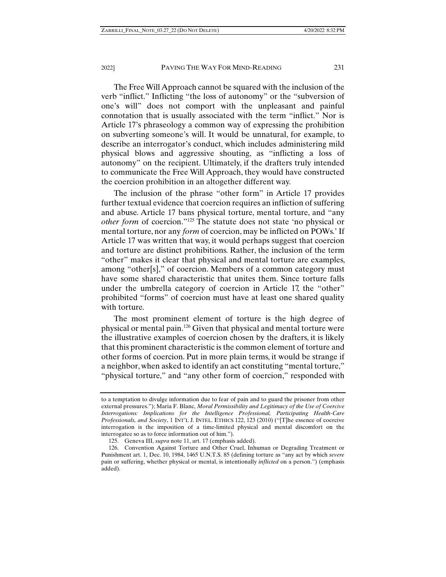The Free Will Approach cannot be squared with the inclusion of the verb "inflict." Inflicting "the loss of autonomy" or the "subversion of one's will" does not comport with the unpleasant and painful connotation that is usually associated with the term "inflict." Nor is Article 17's phraseology a common way of expressing the prohibition on subverting someone's will. It would be unnatural, for example, to describe an interrogator's conduct, which includes administering mild physical blows and aggressive shouting, as "inflicting a loss of autonomy" on the recipient. Ultimately, if the drafters truly intended to communicate the Free Will Approach, they would have constructed the coercion prohibition in an altogether different way.

The inclusion of the phrase "other form" in Article 17 provides further textual evidence that coercion requires an infliction of suffering and abuse. Article 17 bans physical torture, mental torture, and "any *other form* of coercion."125 The statute does not state 'no physical or mental torture, nor any *form* of coercion, may be inflicted on POWs.' If Article 17 was written that way, it would perhaps suggest that coercion and torture are distinct prohibitions. Rather, the inclusion of the term "other" makes it clear that physical and mental torture are examples, among "other[s]," of coercion. Members of a common category must have some shared characteristic that unites them. Since torture falls under the umbrella category of coercion in Article 17, the "other" prohibited "forms" of coercion must have at least one shared quality with torture.

The most prominent element of torture is the high degree of physical or mental pain.126 Given that physical and mental torture were the illustrative examples of coercion chosen by the drafters, it is likely that this prominent characteristic is the common element of torture and other forms of coercion. Put in more plain terms, it would be strange if a neighbor, when asked to identify an act constituting "mental torture," "physical torture," and "any other form of coercion," responded with

to a temptation to divulge information due to fear of pain and to guard the prisoner from other external pressures."); Maria F. Blanc, *Moral Permissibility and Legitimacy of the Use of Coercive Interrogations: Implications for the Intelligence Professional, Participating Health-Care Professionals, and Society*, 1 INT'L J. INTEL. ETHICS 122, 123 (2010) ("[T]he essence of coercive interrogation is the imposition of a time-limited physical and mental discomfort on the interrogatee so as to force information out of him.").

 <sup>125.</sup> Geneva III, *supra* note 11, art. 17 (emphasis added).

 <sup>126.</sup> Convention Against Torture and Other Cruel, Inhuman or Degrading Treatment or Punishment art. 1, Dec. 10, 1984, 1465 U.N.T.S. 85 (defining torture as "any act by which *severe* pain or suffering, whether physical or mental, is intentionally *inflicted* on a person.") (emphasis added).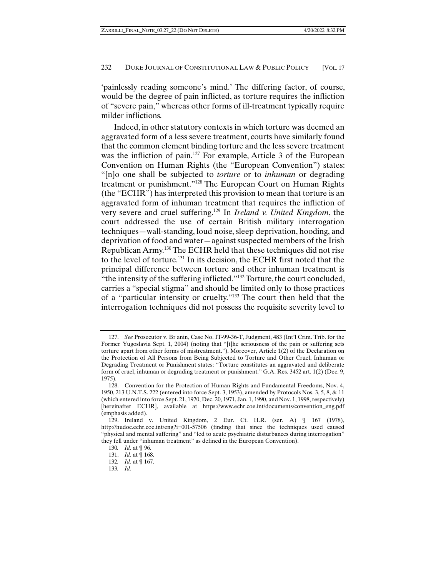'painlessly reading someone's mind.' The differing factor, of course, would be the degree of pain inflicted, as torture requires the infliction of "severe pain," whereas other forms of ill-treatment typically require milder inflictions.

Indeed, in other statutory contexts in which torture was deemed an aggravated form of a less severe treatment, courts have similarly found that the common element binding torture and the less severe treatment was the infliction of pain.<sup>127</sup> For example, Article 3 of the European Convention on Human Rights (the "European Convention") states: "[n]o one shall be subjected to *torture* or to *inhuman* or degrading treatment or punishment."128 The European Court on Human Rights (the "ECHR") has interpreted this provision to mean that torture is an aggravated form of inhuman treatment that requires the infliction of very severe and cruel suffering.129 In *Ireland v. United Kingdom*, the court addressed the use of certain British military interrogation techniques—wall-standing, loud noise, sleep deprivation, hooding, and deprivation of food and water—against suspected members of the Irish Republican Army.130 The ECHR held that these techniques did not rise to the level of torture.131 In its decision, the ECHR first noted that the principal difference between torture and other inhuman treatment is "the intensity of the suffering inflicted."132 Torture, the court concluded, carries a "special stigma" and should be limited only to those practices of a "particular intensity or cruelty."133 The court then held that the interrogation techniques did not possess the requisite severity level to

 <sup>127.</sup> *See* Prosecutor v. Br anin, Case No. IT-99-36-T, Judgment, 483 (Int'l Crim. Trib. for the Former Yugoslavia Sept. 1, 2004) (noting that "[t]he seriousness of the pain or suffering sets torture apart from other forms of mistreatment."). Moreover, Article 1(2) of the Declaration on the Protection of All Persons from Being Subjected to Torture and Other Cruel, Inhuman or Degrading Treatment or Punishment states: "Torture constitutes an aggravated and deliberate form of cruel, inhuman or degrading treatment or punishment." G.A. Res. 3452 art. 1(2) (Dec. 9, 1975).

 <sup>128.</sup> Convention for the Protection of Human Rights and Fundamental Freedoms, Nov. 4, 1950, 213 U.N.T.S. 222 (entered into force Sept. 3, 1953), amended by Protocols Nos. 3, 5, 8, & 11 (which entered into force Sept. 21, 1970, Dec. 20, 1971, Jan. 1, 1990, and Nov. 1, 1998, respectively) [hereinafter ECHR], available at https://www.echr.coe.int/documents/convention\_eng.pdf (emphasis added).

 <sup>129.</sup> Ireland v. United Kingdom, 2 Eur. Ct. H.R. (ser. A) ¶ 167 (1978), http://hudoc.echr.coe.int/eng?i=001-57506 (finding that since the techniques used caused "physical and mental suffering" and "led to acute psychiatric disturbances during interrogation" they fell under "inhuman treatment" as defined in the European Convention).

<sup>130</sup>*. Id.* at ¶ 96.

 <sup>131.</sup> *Id.* at ¶ 168.

<sup>132</sup>*. Id.* at ¶ 167.

<sup>133</sup>*. Id.*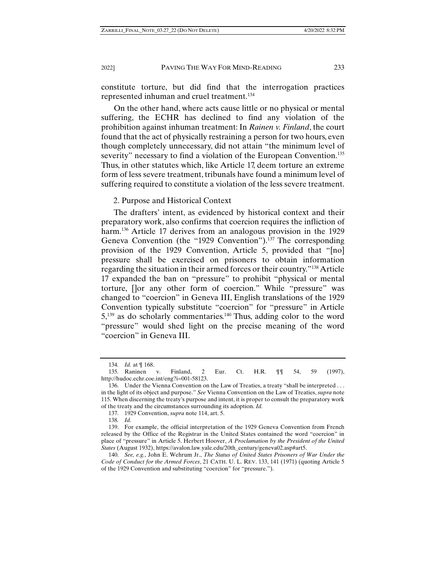constitute torture, but did find that the interrogation practices represented inhuman and cruel treatment.<sup>134</sup>

On the other hand, where acts cause little or no physical or mental suffering, the ECHR has declined to find any violation of the prohibition against inhuman treatment: In *Rainen v. Finland*, the court found that the act of physically restraining a person for two hours, even though completely unnecessary, did not attain "the minimum level of severity" necessary to find a violation of the European Convention.<sup>135</sup> Thus, in other statutes which, like Article 17, deem torture an extreme form of less severe treatment, tribunals have found a minimum level of suffering required to constitute a violation of the less severe treatment.

2. Purpose and Historical Context

The drafters' intent, as evidenced by historical context and their preparatory work, also confirms that coercion requires the infliction of harm.<sup>136</sup> Article 17 derives from an analogous provision in the 1929 Geneva Convention (the "1929 Convention").<sup>137</sup> The corresponding provision of the 1929 Convention, Article 5, provided that "[no] pressure shall be exercised on prisoners to obtain information regarding the situation in their armed forces or their country."138 Article 17 expanded the ban on "pressure" to prohibit "physical or mental torture, []or any other form of coercion." While "pressure" was changed to "coercion" in Geneva III, English translations of the 1929 Convention typically substitute "coercion" for "pressure" in Article  $5,139$  as do scholarly commentaries.<sup>140</sup> Thus, adding color to the word "pressure" would shed light on the precise meaning of the word "coercion" in Geneva III.

<sup>134</sup>*. Id.* at ¶ 168.

<sup>135</sup>*.* Raninen v. Finland, 2 Eur. Ct. H.R. ¶¶ 54, 59 (1997), http://hudoc.echr.coe.int/eng?i=001-58123.

 <sup>136.</sup> Under the Vienna Convention on the Law of Treaties, a treaty "shall be interpreted . . . in the light of its object and purpose." *See* Vienna Convention on the Law of Treaties, *supra* note 115. When discerning the treaty's purpose and intent, it is proper to consult the preparatory work of the treaty and the circumstances surrounding its adoption. *Id.*

 <sup>137. 1929</sup> Convention, *supra* note 114, art. 5.

<sup>138</sup>*. Id.*

 <sup>139.</sup> For example, the official interpretation of the 1929 Geneva Convention from French released by the Office of the Registrar in the United States contained the word "coercion" in place of "pressure" in Article 5. Herbert Hoover, *A Proclamation by the President of the United States* (August 1932), https://avalon.law.yale.edu/20th\_century/geneva02.asp#art5.

 <sup>140.</sup> *See, e.g.*, John E. Wehrum Jr., *The Status of United States Prisoners of War Under the Code of Conduct for the Armed Forces*, 21 CATH. U. L. REV. 133, 141 (1971) (quoting Article 5 of the 1929 Convention and substituting "coercion" for "pressure.").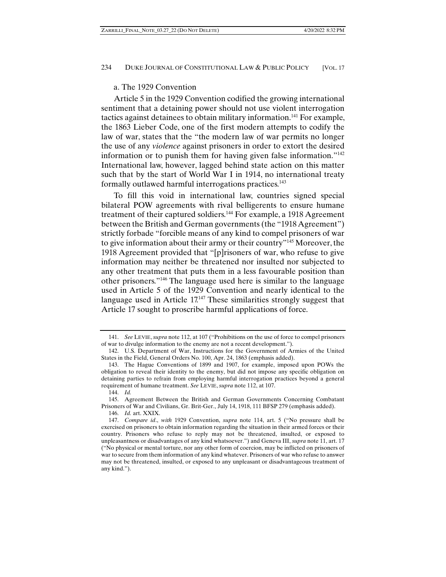## a. The 1929 Convention

Article 5 in the 1929 Convention codified the growing international sentiment that a detaining power should not use violent interrogation tactics against detainees to obtain military information.141 For example, the 1863 Lieber Code, one of the first modern attempts to codify the law of war, states that the "the modern law of war permits no longer the use of any *violence* against prisoners in order to extort the desired information or to punish them for having given false information."142 International law, however, lagged behind state action on this matter such that by the start of World War I in 1914, no international treaty formally outlawed harmful interrogations practices.<sup>143</sup>

To fill this void in international law, countries signed special bilateral POW agreements with rival belligerents to ensure humane treatment of their captured soldiers.<sup>144</sup> For example, a 1918 Agreement between the British and German governments (the "1918 Agreement") strictly forbade "forcible means of any kind to compel prisoners of war to give information about their army or their country"145 Moreover, the 1918 Agreement provided that "[p]risoners of war, who refuse to give information may neither be threatened nor insulted nor subjected to any other treatment that puts them in a less favourable position than other prisoners."146 The language used here is similar to the language used in Article 5 of the 1929 Convention and nearly identical to the language used in Article 17.147 These similarities strongly suggest that Article 17 sought to proscribe harmful applications of force.

 <sup>141.</sup> *See* LEVIE,*supra* note 112, at 107 ("Prohibitions on the use of force to compel prisoners of war to divulge information to the enemy are not a recent development.").

 <sup>142.</sup> U.S. Department of War, Instructions for the Government of Armies of the United States in the Field, General Orders No. 100, Apr. 24, 1863 (emphasis added).

 <sup>143.</sup> The Hague Conventions of 1899 and 1907, for example, imposed upon POWs the obligation to reveal their identity to the enemy, but did not impose any specific obligation on detaining parties to refrain from employing harmful interrogation practices beyond a general requirement of humane treatment. *See* LEVIE, *supra* note 112, at 107.

 <sup>144.</sup> *Id.*

 <sup>145.</sup> Agreement Between the British and German Governments Concerning Combatant Prisoners of War and Civilians, Gr. Brit-Ger., July 14, 1918, 111 BFSP 279 (emphasis added).

 <sup>146.</sup> *Id.* art. XXIX.

 <sup>147.</sup> *Compare id*., *with* 1929 Convention, *supra* note 114, art. 5 ("No pressure shall be exercised on prisoners to obtain information regarding the situation in their armed forces or their country. Prisoners who refuse to reply may not be threatened, insulted, or exposed to unpleasantness or disadvantages of any kind whatsoever.") and Geneva III, *supra* note 11, art. 17 ("No physical or mental torture, nor any other form of coercion, may be inflicted on prisoners of war to secure from them information of any kind whatever. Prisoners of war who refuse to answer may not be threatened, insulted, or exposed to any unpleasant or disadvantageous treatment of any kind.").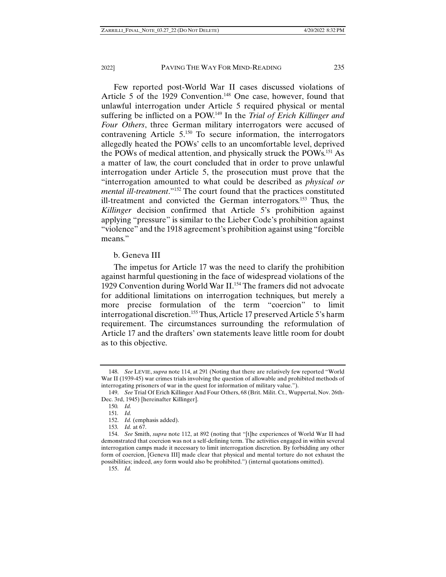Few reported post-World War II cases discussed violations of Article 5 of the 1929 Convention.<sup>148</sup> One case, however, found that unlawful interrogation under Article 5 required physical or mental suffering be inflicted on a POW.149 In the *Trial of Erich Killinger and Four Others*, three German military interrogators were accused of contravening Article 5.150 To secure information, the interrogators allegedly heated the POWs' cells to an uncomfortable level, deprived the POWs of medical attention, and physically struck the POWs.151 As a matter of law, the court concluded that in order to prove unlawful interrogation under Article 5, the prosecution must prove that the "interrogation amounted to what could be described as *physical or mental ill-treatment*."152 The court found that the practices constituted ill-treatment and convicted the German interrogators.153 Thus, the *Killinger* decision confirmed that Article 5's prohibition against applying "pressure" is similar to the Lieber Code's prohibition against "violence" and the 1918 agreement's prohibition against using "forcible means."

#### b. Geneva III

The impetus for Article 17 was the need to clarify the prohibition against harmful questioning in the face of widespread violations of the 1929 Convention during World War II.154 The framers did not advocate for additional limitations on interrogation techniques, but merely a more precise formulation of the term "coercion" to limit interrogational discretion.155 Thus, Article 17 preserved Article 5's harm requirement. The circumstances surrounding the reformulation of Article 17 and the drafters' own statements leave little room for doubt as to this objective.

 <sup>148.</sup> *See* LEVIE, *supra* note 114, at 291 (Noting that there are relatively few reported "World War II (1939-45) war crimes trials involving the question of allowable and prohibited methods of interrogating prisoners of war in the quest for information of military value.").

 <sup>149.</sup> *See* Trial Of Erich Killinger And Four Others, 68 (Brit. Milit. Ct., Wuppertal, Nov. 26th-Dec. 3rd, 1945) [hereinafter Killinger].

<sup>150</sup>*. Id.*

<sup>151</sup>*. Id.*

 <sup>152.</sup> *Id.* (emphasis added).

<sup>153</sup>*. Id.* at 67.

 <sup>154.</sup> *See* Smith, *supra* note 112, at 892 (noting that "[t]he experiences of World War II had demonstrated that coercion was not a self-defining term. The activities engaged in within several interrogation camps made it necessary to limit interrogation discretion. By forbidding any other form of coercion, [Geneva III] made clear that physical and mental torture do not exhaust the possibilities; indeed, *any* form would also be prohibited.") (internal quotations omitted).

 <sup>155.</sup> *Id.*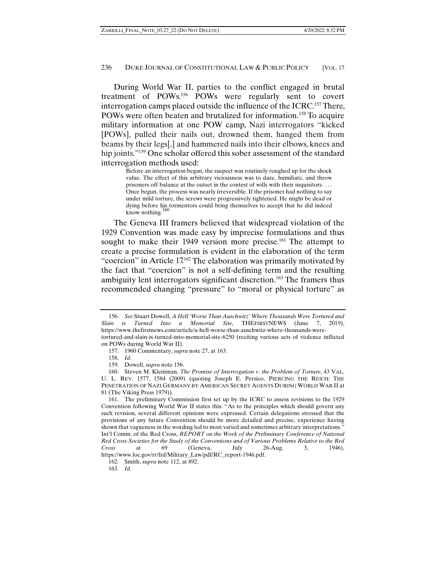During World War II, parties to the conflict engaged in brutal treatment of POWs.156 POWs were regularly sent to covert interrogation camps placed outside the influence of the ICRC.157 There, POWs were often beaten and brutalized for information.<sup>158</sup> To acquire military information at one POW camp, Nazi interrogators "kicked [POWs], pulled their nails out, drowned them, hanged them from beams by their legs[,] and hammered nails into their elbows, knees and hip joints."<sup>159</sup> One scholar offered this sober assessment of the standard interrogation methods used:

> Before an interrogation began, the suspect was routinely roughed up for the shock value. The effect of this arbitrary viciousness was to daze, humiliate, and throw prisoners off balance at the outset in the contest of wills with their inquisitors. . . . Once begun, the process was nearly irreversible. If the prisoner had nothing to say under mild torture, the screws were progressively tightened. He might be dead or dying before his tormentors could bring themselves to accept that he did indeed know nothing.

The Geneva III framers believed that widespread violation of the 1929 Convention was made easy by imprecise formulations and thus sought to make their 1949 version more precise.<sup>161</sup> The attempt to create a precise formulation is evident in the elaboration of the term "coercion" in Article 17.162 The elaboration was primarily motivated by the fact that "coercion" is not a self-defining term and the resulting ambiguity lent interrogators significant discretion.<sup>163</sup> The framers thus recommended changing "pressure" to "moral or physical torture" as

 161. The preliminary Commission first set up by the ICRC to assess revisions to the 1929 Convention following World War II states this: "As to the principles which should govern any such revision, several different opinions were expressed. Certain delegations stressed that the provisions of any future Convention should be more detailed and precise, experience having shown that vagueness in the wording led to most varied and sometimes arbitrary interpretations." Int'l Comm. of the Red Cross, *REPORT on the Work of the Preliminary Conference of National Red Cross Societies for the Study of the Conventions and of Various Problems Relative to the Red Cross* at 69 (Geneva, July 26-Aug. 3, 1946), https://www.loc.gov/rr/frd/Military\_Law/pdf/RC\_report-1946.pdf.

 <sup>156.</sup> *See* Stuart Dowell, *A Hell 'Worse Than Auschwitz' Where Thousands Were Tortured and Slain is Turned Into a Memorial Site*, THEFIRSTNEWS (June 7, 2019), https://www.thefirstnews.com/article/a-hell-worse-than-auschwitz-where-thousands-weretortured-and-slain-is-turned-into-memorial-site-6250 (reciting various acts of violence inflicted on POWs during World War II).

 <sup>157. 1960</sup> Commentary, *supra* note 27, at 163.

 <sup>158.</sup> *Id.*

 <sup>159.</sup> Dowell, *supra* note 156.

 <sup>160.</sup> Steven M. Kleinman, *The Promise of Interrogation v. the Problem of Torture*, 43 VAL. U. L. REV. 1577, 1584 (2009) (quoting Joseph E. Persico, PIERCING THE REICH: THE PENETRATION OF NAZI GERMANY BY AMERICAN SECRET AGENTS DURING WORLD WAR II at 81 (The Viking Press 1979)).

 <sup>162.</sup> Smith, *supra* note 112, at 892.

<sup>163</sup>*. Id.*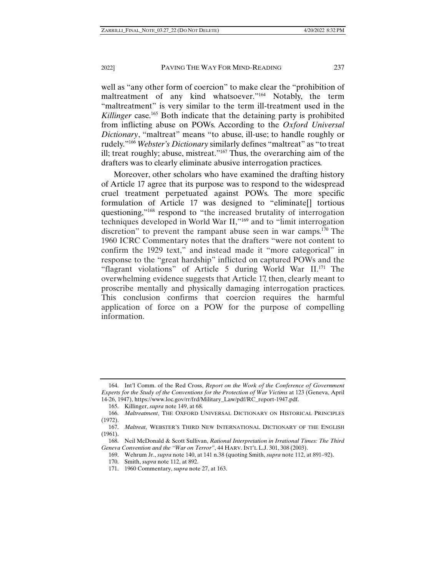well as "any other form of coercion" to make clear the "prohibition of maltreatment of any kind whatsoever."164 Notably, the term "maltreatment" is very similar to the term ill-treatment used in the *Killinger* case.<sup>165</sup> Both indicate that the detaining party is prohibited from inflicting abuse on POWs. According to the *Oxford Universal Dictionary*, "maltreat" means "to abuse, ill-use; to handle roughly or rudely."166 *Webster's Dictionary* similarly defines "maltreat" as "to treat ill; treat roughly; abuse, mistreat."167 Thus, the overarching aim of the drafters was to clearly eliminate abusive interrogation practices.

Moreover, other scholars who have examined the drafting history of Article 17 agree that its purpose was to respond to the widespread cruel treatment perpetuated against POWs. The more specific formulation of Article 17 was designed to "eliminate[] tortious questioning,"168 respond to "the increased brutality of interrogation techniques developed in World War II,"169 and to "limit interrogation discretion" to prevent the rampant abuse seen in war camps.<sup>170</sup> The 1960 ICRC Commentary notes that the drafters "were not content to confirm the 1929 text," and instead made it "more categorical" in response to the "great hardship" inflicted on captured POWs and the "flagrant violations" of Article 5 during World War II.171 The overwhelming evidence suggests that Article 17, then, clearly meant to proscribe mentally and physically damaging interrogation practices. This conclusion confirms that coercion requires the harmful application of force on a POW for the purpose of compelling information.

 <sup>164.</sup> Int'l Comm. of the Red Cross, *Report on the Work of the Conference of Government Experts for the Study of the Conventions for the Protection of War Victims* at 123 (Geneva, April 14-26, 1947), https://www.loc.gov/rr/frd/Military\_Law/pdf/RC\_report-1947.pdf.

 <sup>165.</sup> Killinger, *supra* note 149, at 68.

 <sup>166.</sup> *Maltreatment*, THE OXFORD UNIVERSAL DICTIONARY ON HISTORICAL PRINCIPLES (1972).

 <sup>167.</sup> *Maltreat*, WEBSTER'S THIRD NEW INTERNATIONAL DICTIONARY OF THE ENGLISH (1961).

 <sup>168.</sup> Neil McDonald & Scott Sullivan, *Rational Interpretation in Irrational Times: The Third Geneva Convention and the "War on Terror"*, 44 HARV. INT'L L.J. 301, 308 (2003).

 <sup>169.</sup> Wehrum Jr., *supra* note 140, at 141 n.38 (quoting Smith, *supra* note 112, at 891–92).

 <sup>170.</sup> Smith, *supra* note 112, at 892.

 <sup>171. 1960</sup> Commentary, *supra* note 27, at 163.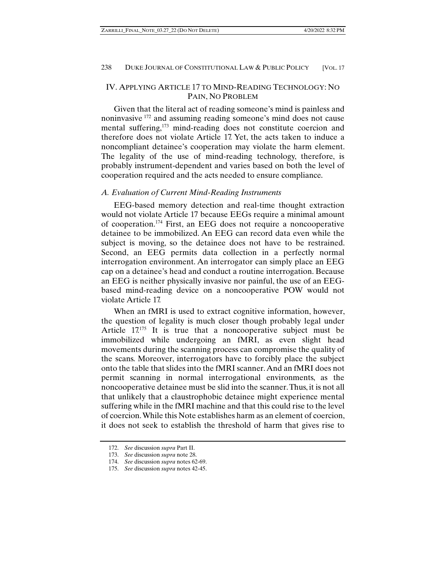## IV. APPLYING ARTICLE 17 TO MIND-READING TECHNOLOGY: NO PAIN, NO PROBLEM

Given that the literal act of reading someone's mind is painless and noninvasive 172 and assuming reading someone's mind does not cause mental suffering,<sup>173</sup> mind-reading does not constitute coercion and therefore does not violate Article 17. Yet, the acts taken to induce a noncompliant detainee's cooperation may violate the harm element. The legality of the use of mind-reading technology, therefore, is probably instrument-dependent and varies based on both the level of cooperation required and the acts needed to ensure compliance.

## *A. Evaluation of Current Mind-Reading Instruments*

EEG-based memory detection and real-time thought extraction would not violate Article 17 because EEGs require a minimal amount of cooperation.174 First, an EEG does not require a noncooperative detainee to be immobilized. An EEG can record data even while the subject is moving, so the detainee does not have to be restrained. Second, an EEG permits data collection in a perfectly normal interrogation environment. An interrogator can simply place an EEG cap on a detainee's head and conduct a routine interrogation. Because an EEG is neither physically invasive nor painful, the use of an EEGbased mind-reading device on a noncooperative POW would not violate Article 17.

When an fMRI is used to extract cognitive information, however, the question of legality is much closer though probably legal under Article 17.175 It is true that a noncooperative subject must be immobilized while undergoing an fMRI, as even slight head movements during the scanning process can compromise the quality of the scans. Moreover, interrogators have to forcibly place the subject onto the table that slides into the fMRI scanner. And an fMRI does not permit scanning in normal interrogational environments, as the noncooperative detainee must be slid into the scanner. Thus, it is not all that unlikely that a claustrophobic detainee might experience mental suffering while in the fMRI machine and that this could rise to the level of coercion. While this Note establishes harm as an element of coercion, it does not seek to establish the threshold of harm that gives rise to

 <sup>172.</sup> *See* discussion *supra* Part II.

 <sup>173.</sup> *See* discussion *supra* note 28.

 <sup>174.</sup> *See* discussion *supra* notes 62-69.

 <sup>175.</sup> *See* discussion *supra* notes 42-45.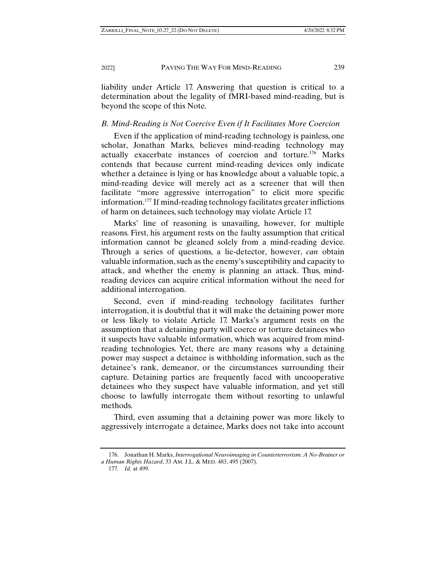liability under Article 17. Answering that question is critical to a determination about the legality of fMRI-based mind-reading, but is beyond the scope of this Note.

## *B. Mind-Reading is Not Coercive Even if It Facilitates More Coercion*

Even if the application of mind-reading technology is painless, one scholar, Jonathan Marks, believes mind-reading technology may actually exacerbate instances of coercion and torture.176 Marks contends that because current mind-reading devices only indicate whether a detainee is lying or has knowledge about a valuable topic, a mind-reading device will merely act as a screener that will then facilitate "more aggressive interrogation" to elicit more specific information.177 If mind-reading technology facilitates greater inflictions of harm on detainees, such technology may violate Article 17.

Marks' line of reasoning is unavailing, however, for multiple reasons. First, his argument rests on the faulty assumption that critical information cannot be gleaned solely from a mind-reading device. Through a series of questions, a lie-detector, however, *can* obtain valuable information, such as the enemy's susceptibility and capacity to attack, and whether the enemy is planning an attack. Thus, mindreading devices can acquire critical information without the need for additional interrogation.

Second, even if mind-reading technology facilitates further interrogation, it is doubtful that it will make the detaining power more or less likely to violate Article 17. Marks's argument rests on the assumption that a detaining party will coerce or torture detainees who it suspects have valuable information, which was acquired from mindreading technologies. Yet, there are many reasons why a detaining power may suspect a detainee is withholding information, such as the detainee's rank, demeanor, or the circumstances surrounding their capture. Detaining parties are frequently faced with uncooperative detainees who they suspect have valuable information, and yet still choose to lawfully interrogate them without resorting to unlawful methods.

Third, even assuming that a detaining power was more likely to aggressively interrogate a detainee, Marks does not take into account

 <sup>176.</sup> Jonathan H. Marks, *Interrogational Neuroimaging in Counterterrorism: A No-Brainer or a Human Rights Hazard*, 33 AM. J.L. & MED. 483, 495 (2007).

<sup>177</sup>*. Id.* at 499.